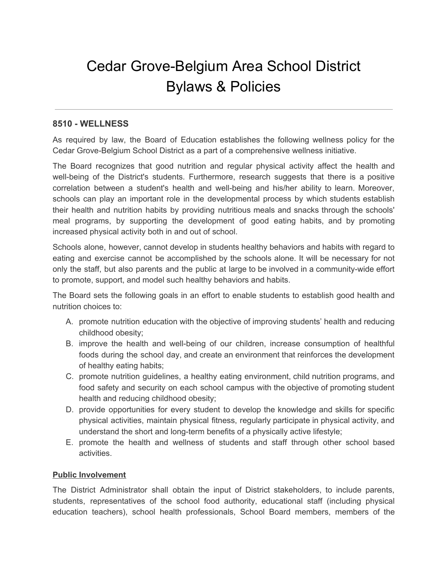# Cedar Grove-Belgium Area School District Bylaws & Policies

# **8510 - WELLNESS**

As required by law, the Board of Education establishes the following wellness policy for the Cedar Grove-Belgium School District as a part of a comprehensive wellness initiative.

The Board recognizes that good nutrition and regular physical activity affect the health and well-being of the District's students. Furthermore, research suggests that there is a positive correlation between a student's health and well-being and his/her ability to learn. Moreover, schools can play an important role in the developmental process by which students establish their health and nutrition habits by providing nutritious meals and snacks through the schools' meal programs, by supporting the development of good eating habits, and by promoting increased physical activity both in and out of school.

Schools alone, however, cannot develop in students healthy behaviors and habits with regard to eating and exercise cannot be accomplished by the schools alone. It will be necessary for not only the staff, but also parents and the public at large to be involved in a community-wide effort to promote, support, and model such healthy behaviors and habits.

The Board sets the following goals in an effort to enable students to establish good health and nutrition choices to:

- A. promote nutrition education with the objective of improving students' health and reducing childhood obesity;
- B. improve the health and well-being of our children, increase consumption of healthful foods during the school day, and create an environment that reinforces the development of healthy eating habits;
- C. promote nutrition guidelines, a healthy eating environment, child nutrition programs, and food safety and security on each school campus with the objective of promoting student health and reducing childhood obesity;
- D. provide opportunities for every student to develop the knowledge and skills for specific physical activities, maintain physical fitness, regularly participate in physical activity, and understand the short and long-term benefits of a physically active lifestyle;
- E. promote the health and wellness of students and staff through other school based activities.

## **Public Involvement**

The District Administrator shall obtain the input of District stakeholders, to include parents, students, representatives of the school food authority, educational staff (including physical education teachers), school health professionals, School Board members, members of the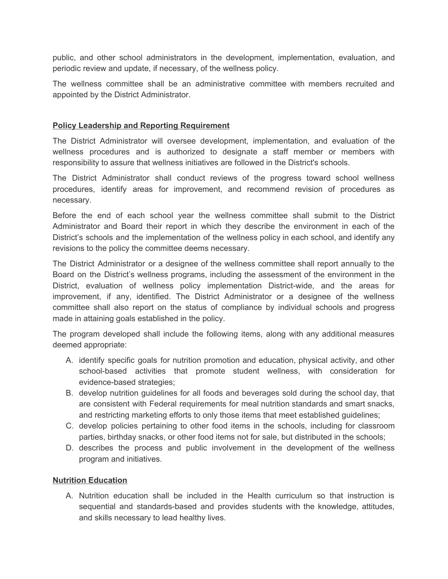public, and other school administrators in the development, implementation, evaluation, and periodic review and update, if necessary, of the wellness policy.

The wellness committee shall be an administrative committee with members recruited and appointed by the District Administrator.

#### **Policy Leadership and Reporting Requirement**

The District Administrator will oversee development, implementation, and evaluation of the wellness procedures and is authorized to designate a staff member or members with responsibility to assure that wellness initiatives are followed in the District's schools.

The District Administrator shall conduct reviews of the progress toward school wellness procedures, identify areas for improvement, and recommend revision of procedures as necessary.

Before the end of each school year the wellness committee shall submit to the District Administrator and Board their report in which they describe the environment in each of the District's schools and the implementation of the wellness policy in each school, and identify any revisions to the policy the committee deems necessary.

The District Administrator or a designee of the wellness committee shall report annually to the Board on the District's wellness programs, including the assessment of the environment in the District, evaluation of wellness policy implementation District-wide, and the areas for improvement, if any, identified. The District Administrator or a designee of the wellness committee shall also report on the status of compliance by individual schools and progress made in attaining goals established in the policy.

The program developed shall include the following items, along with any additional measures deemed appropriate:

- A. identify specific goals for nutrition promotion and education, physical activity, and other school-based activities that promote student wellness, with consideration for evidence-based strategies;
- B. develop nutrition guidelines for all foods and beverages sold during the school day, that are consistent with Federal requirements for meal nutrition standards and smart snacks, and restricting marketing efforts to only those items that meet established guidelines;
- C. develop policies pertaining to other food items in the schools, including for classroom parties, birthday snacks, or other food items not for sale, but distributed in the schools;
- D. describes the process and public involvement in the development of the wellness program and initiatives.

### **Nutrition Education**

A. Nutrition education shall be included in the Health curriculum so that instruction is sequential and standards-based and provides students with the knowledge, attitudes, and skills necessary to lead healthy lives.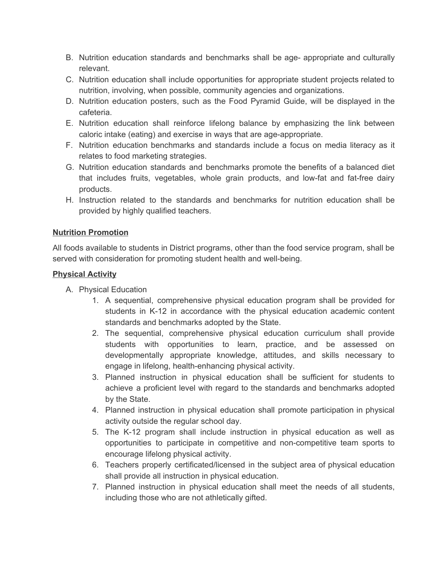- B. Nutrition education standards and benchmarks shall be age- appropriate and culturally relevant.
- C. Nutrition education shall include opportunities for appropriate student projects related to nutrition, involving, when possible, community agencies and organizations.
- D. Nutrition education posters, such as the Food Pyramid Guide, will be displayed in the cafeteria.
- E. Nutrition education shall reinforce lifelong balance by emphasizing the link between caloric intake (eating) and exercise in ways that are age-appropriate.
- F. Nutrition education benchmarks and standards include a focus on media literacy as it relates to food marketing strategies.
- G. Nutrition education standards and benchmarks promote the benefits of a balanced diet that includes fruits, vegetables, whole grain products, and low-fat and fat-free dairy products.
- H. Instruction related to the standards and benchmarks for nutrition education shall be provided by highly qualified teachers.

## **Nutrition Promotion**

All foods available to students in District programs, other than the food service program, shall be served with consideration for promoting student health and well-being.

## **Physical Activity**

- A. Physical Education
	- 1. A sequential, comprehensive physical education program shall be provided for students in K-12 in accordance with the physical education academic content standards and benchmarks adopted by the State.
	- 2. The sequential, comprehensive physical education curriculum shall provide students with opportunities to learn, practice, and be assessed on developmentally appropriate knowledge, attitudes, and skills necessary to engage in lifelong, health-enhancing physical activity.
	- 3. Planned instruction in physical education shall be sufficient for students to achieve a proficient level with regard to the standards and benchmarks adopted by the State.
	- 4. Planned instruction in physical education shall promote participation in physical activity outside the regular school day.
	- 5. The K-12 program shall include instruction in physical education as well as opportunities to participate in competitive and non-competitive team sports to encourage lifelong physical activity.
	- 6. Teachers properly certificated/licensed in the subject area of physical education shall provide all instruction in physical education.
	- 7. Planned instruction in physical education shall meet the needs of all students, including those who are not athletically gifted.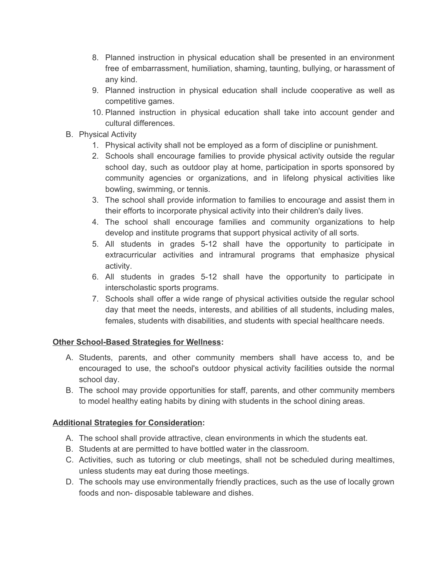- 8. Planned instruction in physical education shall be presented in an environment free of embarrassment, humiliation, shaming, taunting, bullying, or harassment of any kind.
- 9. Planned instruction in physical education shall include cooperative as well as competitive games.
- 10. Planned instruction in physical education shall take into account gender and cultural differences.
- B. Physical Activity
	- 1. Physical activity shall not be employed as a form of discipline or punishment.
	- 2. Schools shall encourage families to provide physical activity outside the regular school day, such as outdoor play at home, participation in sports sponsored by community agencies or organizations, and in lifelong physical activities like bowling, swimming, or tennis.
	- 3. The school shall provide information to families to encourage and assist them in their efforts to incorporate physical activity into their children's daily lives.
	- 4. The school shall encourage families and community organizations to help develop and institute programs that support physical activity of all sorts.
	- 5. All students in grades 5-12 shall have the opportunity to participate in extracurricular activities and intramural programs that emphasize physical activity.
	- 6. All students in grades 5-12 shall have the opportunity to participate in interscholastic sports programs.
	- 7. Schools shall offer a wide range of physical activities outside the regular school day that meet the needs, interests, and abilities of all students, including males, females, students with disabilities, and students with special healthcare needs.

## **Other School-Based Strategies for Wellness:**

- A. Students, parents, and other community members shall have access to, and be encouraged to use, the school's outdoor physical activity facilities outside the normal school day.
- B. The school may provide opportunities for staff, parents, and other community members to model healthy eating habits by dining with students in the school dining areas.

## **Additional Strategies for Consideration:**

- A. The school shall provide attractive, clean environments in which the students eat.
- B. Students at are permitted to have bottled water in the classroom.
- C. Activities, such as tutoring or club meetings, shall not be scheduled during mealtimes, unless students may eat during those meetings.
- D. The schools may use environmentally friendly practices, such as the use of locally grown foods and non- disposable tableware and dishes.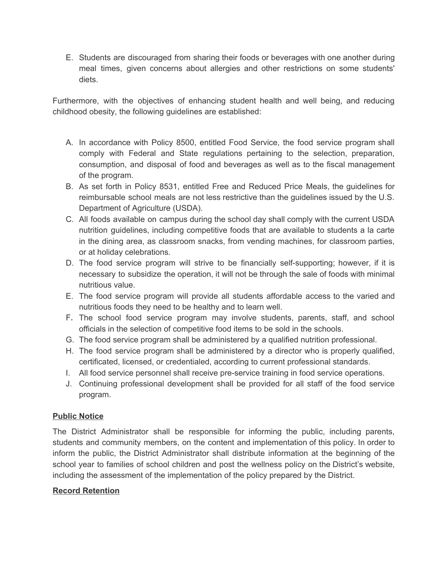E. Students are discouraged from sharing their foods or beverages with one another during meal times, given concerns about allergies and other restrictions on some students' diets.

Furthermore, with the objectives of enhancing student health and well being, and reducing childhood obesity, the following guidelines are established:

- A. In accordance with Policy 8500, entitled Food Service, the food service program shall comply with Federal and State regulations pertaining to the selection, preparation, consumption, and disposal of food and beverages as well as to the fiscal management of the program.
- B. As set forth in Policy 8531, entitled Free and Reduced Price Meals, the guidelines for reimbursable school meals are not less restrictive than the guidelines issued by the U.S. Department of Agriculture (USDA).
- C. All foods available on campus during the school day shall comply with the current USDA nutrition guidelines, including competitive foods that are available to students a la carte in the dining area, as classroom snacks, from vending machines, for classroom parties, or at holiday celebrations.
- D. The food service program will strive to be financially self-supporting; however, if it is necessary to subsidize the operation, it will not be through the sale of foods with minimal nutritious value.
- E. The food service program will provide all students affordable access to the varied and nutritious foods they need to be healthy and to learn well.
- F. The school food service program may involve students, parents, staff, and school officials in the selection of competitive food items to be sold in the schools.
- G. The food service program shall be administered by a qualified nutrition professional.
- H. The food service program shall be administered by a director who is properly qualified, certificated, licensed, or credentialed, according to current professional standards.
- I. All food service personnel shall receive pre-service training in food service operations.
- J. Continuing professional development shall be provided for all staff of the food service program.

## **Public Notice**

The District Administrator shall be responsible for informing the public, including parents, students and community members, on the content and implementation of this policy. In order to inform the public, the District Administrator shall distribute information at the beginning of the school year to families of school children and post the wellness policy on the District's website, including the assessment of the implementation of the policy prepared by the District.

## **Record Retention**